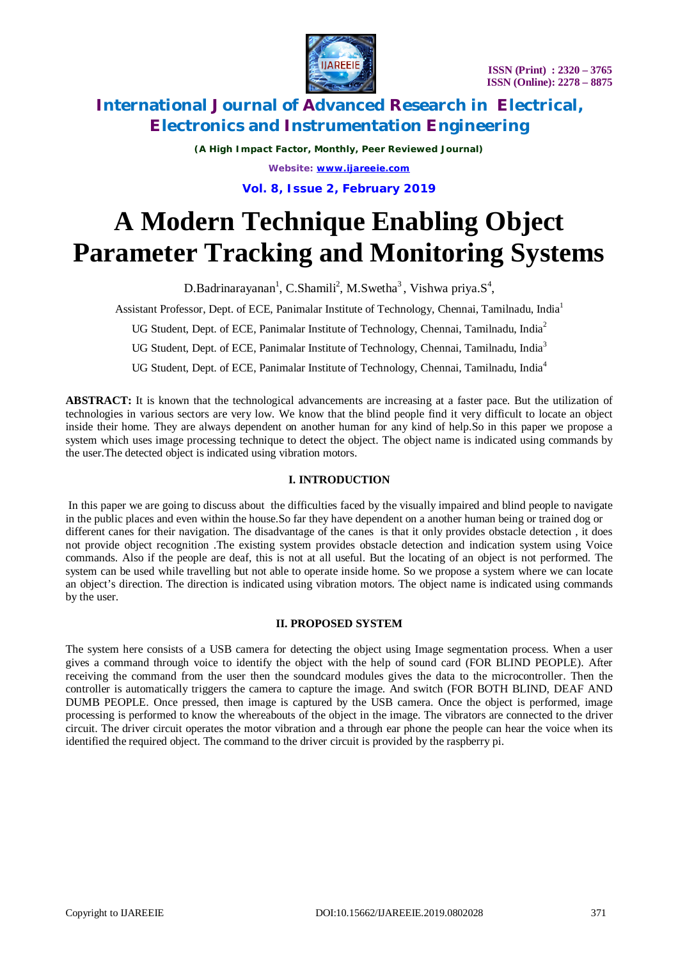



*(A High Impact Factor, Monthly, Peer Reviewed Journal) Website: [www.ijareeie.com](http://www.ijareeie.com)* **Vol. 8, Issue 2, February 2019**

# **A Modern Technique Enabling Object Parameter Tracking and Monitoring Systems**

 $D.Badrinarayanan<sup>1</sup>, C.Shamili<sup>2</sup>, M.Swetha<sup>3</sup>, Vishwa priya.S<sup>4</sup>,$ 

Assistant Professor, Dept. of ECE, Panimalar Institute of Technology, Chennai, Tamilnadu, India<sup>1</sup>

UG Student, Dept. of ECE, Panimalar Institute of Technology, Chennai, Tamilnadu, India<sup>2</sup>

UG Student, Dept. of ECE, Panimalar Institute of Technology, Chennai, Tamilnadu, India<sup>3</sup>

UG Student, Dept. of ECE, Panimalar Institute of Technology, Chennai, Tamilnadu, India<sup>4</sup>

**ABSTRACT:** It is known that the technological advancements are increasing at a faster pace. But the utilization of technologies in various sectors are very low. We know that the blind people find it very difficult to locate an object inside their home. They are always dependent on another human for any kind of help.So in this paper we propose a system which uses image processing technique to detect the object. The object name is indicated using commands by the user.The detected object is indicated using vibration motors.

### **I. INTRODUCTION**

In this paper we are going to discuss about the difficulties faced by the visually impaired and blind people to navigate in the public places and even within the house.So far they have dependent on a another human being or trained dog or different canes for their navigation. The disadvantage of the canes is that it only provides obstacle detection , it does not provide object recognition .The existing system provides obstacle detection and indication system using Voice commands. Also if the people are deaf, this is not at all useful. But the locating of an object is not performed. The system can be used while travelling but not able to operate inside home. So we propose a system where we can locate an object's direction. The direction is indicated using vibration motors. The object name is indicated using commands by the user.

### **II. PROPOSED SYSTEM**

The system here consists of a USB camera for detecting the object using Image segmentation process. When a user gives a command through voice to identify the object with the help of sound card (FOR BLIND PEOPLE). After receiving the command from the user then the soundcard modules gives the data to the microcontroller. Then the controller is automatically triggers the camera to capture the image. And switch (FOR BOTH BLIND, DEAF AND DUMB PEOPLE. Once pressed, then image is captured by the USB camera. Once the object is performed, image processing is performed to know the whereabouts of the object in the image. The vibrators are connected to the driver circuit. The driver circuit operates the motor vibration and a through ear phone the people can hear the voice when its identified the required object. The command to the driver circuit is provided by the raspberry pi.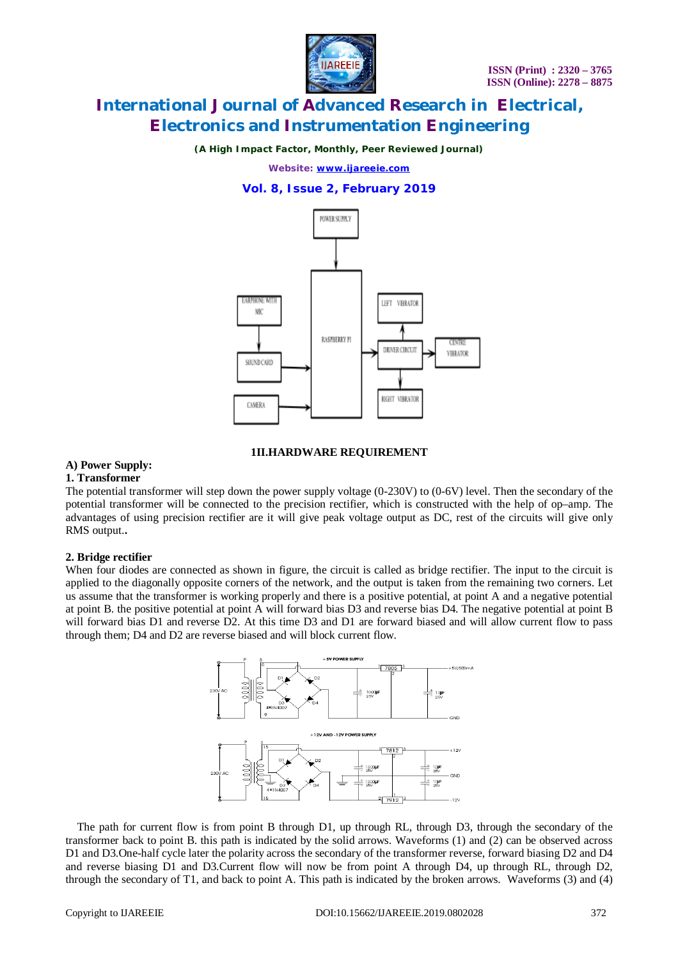

*(A High Impact Factor, Monthly, Peer Reviewed Journal)*

*Website: [www.ijareeie.com](http://www.ijareeie.com)*

### **Vol. 8, Issue 2, February 2019**



### **1II.HARDWARE REQUIREMENT**

### **A) Power Supply:**

#### **1. Transformer**

The potential transformer will step down the power supply voltage (0-230V) to (0-6V) level. Then the secondary of the potential transformer will be connected to the precision rectifier, which is constructed with the help of op–amp. The advantages of using precision rectifier are it will give peak voltage output as DC, rest of the circuits will give only RMS output.**.**

#### **2. Bridge rectifier**

When four diodes are connected as shown in figure, the circuit is called as bridge rectifier. The input to the circuit is applied to the diagonally opposite corners of the network, and the output is taken from the remaining two corners. Let us assume that the transformer is working properly and there is a positive potential, at point A and a negative potential at point B. the positive potential at point A will forward bias D3 and reverse bias D4. The negative potential at point B will forward bias D1 and reverse D2. At this time D3 and D1 are forward biased and will allow current flow to pass through them; D4 and D2 are reverse biased and will block current flow.



 The path for current flow is from point B through D1, up through RL, through D3, through the secondary of the transformer back to point B. this path is indicated by the solid arrows. Waveforms (1) and (2) can be observed across D1 and D3.One-half cycle later the polarity across the secondary of the transformer reverse, forward biasing D2 and D4 and reverse biasing D1 and D3.Current flow will now be from point A through D4, up through RL, through D2, through the secondary of T1, and back to point A. This path is indicated by the broken arrows. Waveforms (3) and (4)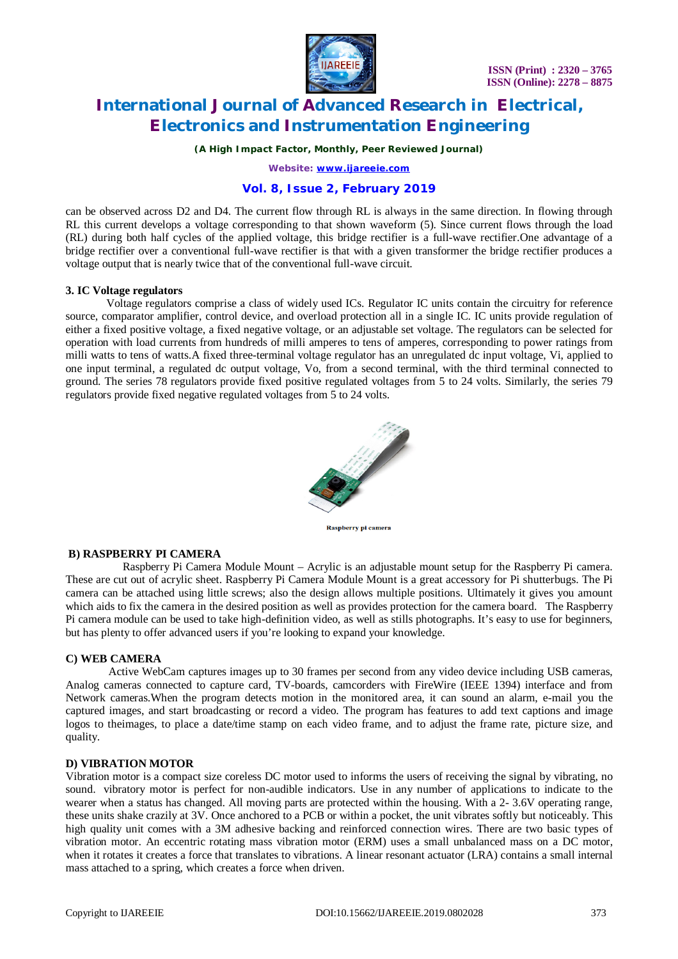

*(A High Impact Factor, Monthly, Peer Reviewed Journal)*

*Website: [www.ijareeie.com](http://www.ijareeie.com)*

### **Vol. 8, Issue 2, February 2019**

can be observed across D2 and D4. The current flow through RL is always in the same direction. In flowing through RL this current develops a voltage corresponding to that shown waveform (5). Since current flows through the load (RL) during both half cycles of the applied voltage, this bridge rectifier is a full-wave rectifier.One advantage of a bridge rectifier over a conventional full-wave rectifier is that with a given transformer the bridge rectifier produces a voltage output that is nearly twice that of the conventional full-wave circuit.

### **3. IC Voltage regulators**

 Voltage regulators comprise a class of widely used ICs. Regulator IC units contain the circuitry for reference source, comparator amplifier, control device, and overload protection all in a single IC. IC units provide regulation of either a fixed positive voltage, a fixed negative voltage, or an adjustable set voltage. The regulators can be selected for operation with load currents from hundreds of milli amperes to tens of amperes, corresponding to power ratings from milli watts to tens of watts.A fixed three-terminal voltage regulator has an unregulated dc input voltage, Vi, applied to one input terminal, a regulated dc output voltage, Vo, from a second terminal, with the third terminal connected to ground. The series 78 regulators provide fixed positive regulated voltages from 5 to 24 volts. Similarly, the series 79 regulators provide fixed negative regulated voltages from 5 to 24 volts.



**Raspberry pi camera** 

### **B) RASPBERRY PI CAMERA**

 Raspberry Pi Camera Module Mount – Acrylic is an adjustable mount setup for the Raspberry Pi camera. These are cut out of acrylic sheet. Raspberry Pi Camera Module Mount is a great accessory for Pi shutterbugs. The Pi camera can be attached using little screws; also the design allows multiple positions. Ultimately it gives you amount which aids to fix the camera in the desired position as well as provides protection for the camera board. The Raspberry Pi camera module can be used to take high-definition video, as well as stills photographs. It's easy to use for beginners, but has plenty to offer advanced users if you're looking to expand your knowledge.

### **C) WEB CAMERA**

 Active WebCam captures images up to 30 frames per second from any video device including USB cameras, Analog cameras connected to capture card, TV-boards, camcorders with FireWire (IEEE 1394) interface and from Network cameras.When the program detects motion in the monitored area, it can sound an alarm, e-mail you the captured images, and start broadcasting or record a video. The program has features to add text captions and image logos to theimages, to place a date/time stamp on each video frame, and to adjust the frame rate, picture size, and quality.

#### **D) VIBRATION MOTOR**

Vibration motor is a compact size coreless DC motor used to informs the users of receiving the signal by vibrating, no sound. vibratory motor is perfect for non-audible indicators. Use in any number of applications to indicate to the wearer when a status has changed. All moving parts are protected within the housing. With a 2- 3.6V operating range, these units shake crazily at 3V. Once anchored to a PCB or within a pocket, the unit vibrates softly but noticeably. This high quality unit comes with a 3M adhesive backing and reinforced connection wires. There are two basic types of vibration motor. An eccentric rotating mass vibration motor (ERM) uses a small unbalanced mass on a DC motor, when it rotates it creates a force that translates to vibrations. A linear resonant actuator (LRA) contains a small internal mass attached to a spring, which creates a force when driven.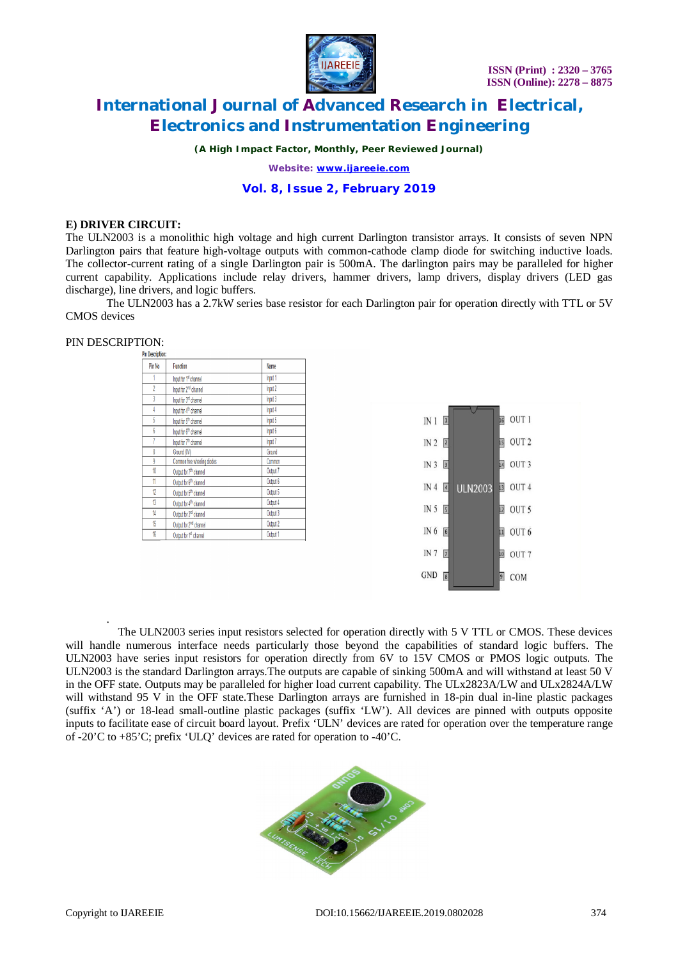

*(A High Impact Factor, Monthly, Peer Reviewed Journal)*

*Website: [www.ijareeie.com](http://www.ijareeie.com)*

### **Vol. 8, Issue 2, February 2019**

### **E) DRIVER CIRCUIT:**

The ULN2003 is a monolithic high voltage and high current Darlington transistor arrays. It consists of seven NPN Darlington pairs that feature high-voltage outputs with common-cathode clamp diode for switching inductive loads. The collector-current rating of a single Darlington pair is 500mA. The darlington pairs may be paralleled for higher current capability. Applications include relay drivers, hammer drivers, lamp drivers, display drivers (LED gas discharge), line drivers, and logic buffers.

The ULN2003 has a 2.7kW series base resistor for each Darlington pair for operation directly with TTL or 5V CMOS devices

.

| Pin Description: |                                    |          |  |
|------------------|------------------------------------|----------|--|
| Pin No           | Function                           | Name     |  |
|                  | Input for 1st channel              | Input 1  |  |
| $\overline{2}$   | Input for 2 <sup>nd</sup> channel  | Input 2  |  |
| 3                | Input for 3 <sup>rd</sup> channel  | Input 3  |  |
| 4                | Input for 4 <sup>th</sup> channel  | Input 4  |  |
| 5                | Input for 5 <sup>th</sup> channel  | Input 5  |  |
| 6                | Input for 6 <sup>th</sup> channel  | Input 6  |  |
|                  | Input for 7 <sup>th</sup> channel  | Input 7  |  |
| 8                | Ground (OV)                        | Ground   |  |
| 9                | Common free wheeling diodes        | Common   |  |
| 10               | Output for 7 <sup>th</sup> channel | Output 7 |  |
| 11               | Output for 6 <sup>th</sup> channel | Output 6 |  |
| 12               | Output for 5 <sup>th</sup> channel | Output 5 |  |
| 13               | Output for 4 <sup>th</sup> channel | Output 4 |  |
| 14               | Output for 3 <sup>rd</sup> channel | Output 3 |  |
| 15               | Output for 2 <sup>nd</sup> channel | Output 2 |  |
| 16               | Output for 1st channel             | Output 1 |  |

| $IN1$ <sup>1</sup> |                |                |                 | 16 OUT 1         |
|--------------------|----------------|----------------|-----------------|------------------|
| IN $2\sqrt{2}$     |                |                | 15              | OUT <sub>2</sub> |
| IN $3\overline{3}$ |                |                | 14              | OUT <sub>3</sub> |
| IN $4\sqrt{4}$     |                | <b>ULN2003</b> |                 | 13 OUT 4         |
| IN 5 5             |                |                |                 | $12$ OUT 5       |
| IN 6               | 6              |                |                 | $\Box$ OUT 6     |
| IN <sub>7</sub>    | 7              |                | 10              | OUT <sub>7</sub> |
| GND                | $\overline{8}$ |                | $\vert 9 \vert$ | COM              |

 The ULN2003 series input resistors selected for operation directly with 5 V TTL or CMOS. These devices will handle numerous interface needs particularly those beyond the capabilities of standard logic buffers. The ULN2003 have series input resistors for operation directly from 6V to 15V CMOS or PMOS logic outputs. The ULN2003 is the standard Darlington arrays.The outputs are capable of sinking 500mA and will withstand at least 50 V in the OFF state. Outputs may be paralleled for higher load current capability. The ULx2823A/LW and ULx2824A/LW will withstand 95 V in the OFF state.These Darlington arrays are furnished in 18-pin dual in-line plastic packages (suffix 'A') or 18-lead small-outline plastic packages (suffix 'LW'). All devices are pinned with outputs opposite inputs to facilitate ease of circuit board layout. Prefix 'ULN' devices are rated for operation over the temperature range of -20'C to +85'C; prefix 'ULQ' devices are rated for operation to -40'C.

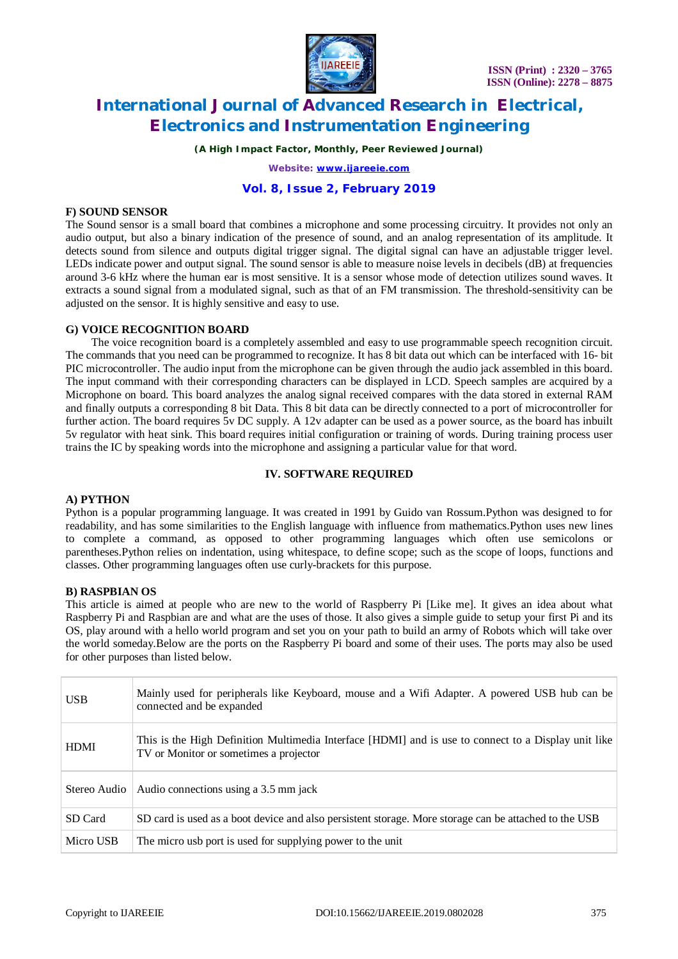

*(A High Impact Factor, Monthly, Peer Reviewed Journal)*

*Website: [www.ijareeie.com](http://www.ijareeie.com)*

### **Vol. 8, Issue 2, February 2019**

### **F) SOUND SENSOR**

The Sound sensor is a small board that combines a microphone and some processing circuitry. It provides not only an audio output, but also a binary indication of the presence of sound, and an analog representation of its amplitude. It detects sound from silence and outputs digital trigger signal. The digital signal can have an adjustable trigger level. LEDs indicate power and output signal. The sound sensor is able to measure noise levels in decibels (dB) at frequencies around 3-6 kHz where the human ear is most sensitive. It is a sensor whose mode of detection utilizes sound waves. It extracts a sound signal from a modulated signal, such as that of an FM transmission. The threshold-sensitivity can be adjusted on the sensor. It is highly sensitive and easy to use.

### **G) VOICE RECOGNITION BOARD**

The voice recognition board is a completely assembled and easy to use programmable speech recognition circuit. The commands that you need can be programmed to recognize. It has 8 bit data out which can be interfaced with 16- bit PIC microcontroller. The audio input from the microphone can be given through the audio jack assembled in this board. The input command with their corresponding characters can be displayed in LCD. Speech samples are acquired by a Microphone on board. This board analyzes the analog signal received compares with the data stored in external RAM and finally outputs a corresponding 8 bit Data. This 8 bit data can be directly connected to a port of microcontroller for further action. The board requires 5v DC supply. A 12v adapter can be used as a power source, as the board has inbuilt 5v regulator with heat sink. This board requires initial configuration or training of words. During training process user trains the IC by speaking words into the microphone and assigning a particular value for that word.

### **IV. SOFTWARE REQUIRED**

### **A) PYTHON**

Python is a popular programming language. It was created in 1991 by Guido van Rossum.Python was designed to for readability, and has some similarities to the English language with influence from mathematics.Python uses new lines to complete a command, as opposed to other programming languages which often use semicolons or parentheses.Python relies on indentation, using whitespace, to define scope; such as the scope of loops, functions and classes. Other programming languages often use curly-brackets for this purpose.

### **B) RASPBIAN OS**

This article is aimed at people who are new to the world of Raspberry Pi [Like me]. It gives an idea about what Raspberry Pi and Raspbian are and what are the uses of those. It also gives a simple guide to setup your first Pi and its OS, play around with a hello world program and set you on your path to build an army of Robots which will take over the world someday.Below are the ports on the Raspberry Pi board and some of their uses. The ports may also be used for other purposes than listed below.

| <b>USB</b>   | Mainly used for peripherals like Keyboard, mouse and a Wifi Adapter. A powered USB hub can be<br>connected and be expanded                     |
|--------------|------------------------------------------------------------------------------------------------------------------------------------------------|
| <b>HDMI</b>  | This is the High Definition Multimedia Interface [HDMI] and is use to connect to a Display unit like<br>TV or Monitor or sometimes a projector |
| Stereo Audio | Audio connections using a 3.5 mm jack                                                                                                          |
| SD Card      | SD card is used as a boot device and also persistent storage. More storage can be attached to the USB                                          |
| Micro USB    | The micro usb port is used for supplying power to the unit                                                                                     |